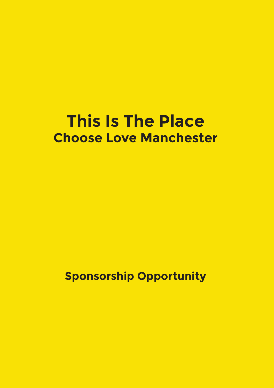### **This Is The Place Choose Love Manchester**

**Sponsorship Opportunity**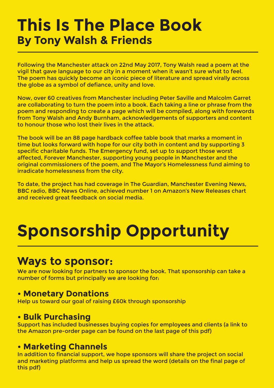### **This Is The Place Book By Tony Walsh & Friends**

Following the Manchester attack on 22nd May 2017, Tony Walsh read a poem at the vigil that gave language to our city in a moment when it wasn't sure what to feel. The poem has quickly become an iconic piece of literature and spread virally across the globe as a symbol of defiance, unity and love.

Now, over 60 creatives from Manchester including Peter Saville and Malcolm Garret are collaborating to turn the poem into a book. Each taking a line or phrase from the poem and responding to create a page which will be compiled, along with forewords from Tony Walsh and Andy Burnham, acknowledgements of supporters and content to honour those who lost their lives in the attack.

The book will be an 88 page hardback coffee table book that marks a moment in time but looks forward with hope for our city both in content and by supporting 3 specific charitable funds. The Emergency fund, set up to support those worst affected, Forever Manchester, supporting young people in Manchester and the original commissioners of the poem, and The Mayor's Homelessness fund aiming to irradicate homelessness from the city.

To date, the project has had coverage in The Guardian, Manchester Evening News, BBC radio, BBC News Online, achieved number 1 on Amazon's New Releases chart and received great feedback on social media.

## **Sponsorship Opportunity**

### **Ways to sponsor:**

We are now looking for partners to sponsor the book. That sponsorship can take a number of forms but principally we are looking for:

#### **• Monetary Donations**

Help us toward our goal of raising £60k through sponsorship

#### **• Bulk Purchasing**

Support has included businesses buying copies for employees and clients (a link to the Amazon pre-order page can be found on the last page of this pdf)

#### **• Marketing Channels**

In addition to financial support, we hope sponsors will share the project on social and marketing platforms and help us spread the word (details on the final page of this pdf)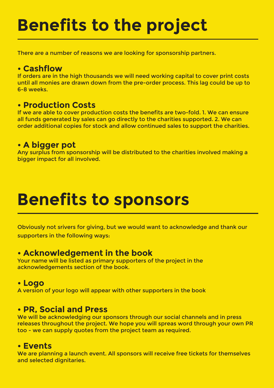# **Benefits to the project**

There are a number of reasons we are looking for sponsorship partners.

#### **• Cashflow**

If orders are in the high thousands we will need working capital to cover print costs until all monies are drawn down from the pre-order process. This lag could be up to 6-8 weeks.

#### **• Production Costs**

If we are able to cover production costs the benefits are two-fold. 1. We can ensure all funds generated by sales can go directly to the charities supported. 2. We can order additional copies for stock and allow continued sales to support the charities.

#### **• A bigger pot**

Any surplus from sponsorship will be distributed to the charities involved making a bigger impact for all involved.

### **Benefits to sponsors**

Obviously not srivers for giving, but we would want to acknowledge and thank our supporters in the following ways:

#### **• Acknowledgement in the book**

Your name will be listed as primary supporters of the project in the acknowledgements section of the book.

#### **• Logo**

A version of your logo will appear with other supporters in the book

#### **• PR, Social and Press**

We will be acknowledging our sponsors through our social channels and in press releases throughout the project. We hope you will spreas word through your own PR too - we can supply quotes from the project team as required.

#### **• Events**

We are planning a launch event. All sponsors will receive free tickets for themselves and selected dignitaries.